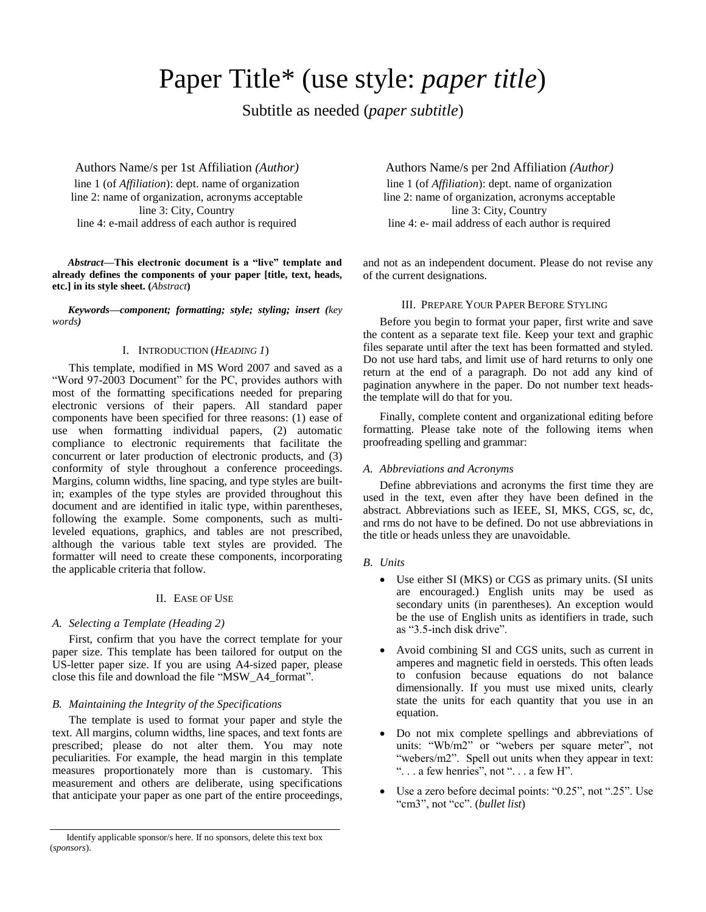# Paper Title\* (use style: *paper title*)

Subtitle as needed (*paper subtitle*)

Authors Name/s per 1st Affiliation *(Author)* line 1 (of *Affiliation*): dept. name of organization line 2: name of organization, acronyms acceptable line 3: City, Country line 4: e-mail address of each author is required

*Abstract***—This electronic document is a "live" template and already defines the components of your paper [title, text, heads, etc.] in its style sheet. (***Abstract***)**

*Keywords—component; formatting; style; styling; insert (key words)*

## I. INTRODUCTION (*HEADING 1*)

This template, modified in MS Word 2007 and saved as a "Word 97-2003 Document" for the PC, provides authors with most of the formatting specifications needed for preparing electronic versions of their papers. All standard paper components have been specified for three reasons: (1) ease of use when formatting individual papers, (2) automatic compliance to electronic requirements that facilitate the concurrent or later production of electronic products, and (3) conformity of style throughout a conference proceedings. Margins, column widths, line spacing, and type styles are builtin; examples of the type styles are provided throughout this document and are identified in italic type, within parentheses, following the example. Some components, such as multileveled equations, graphics, and tables are not prescribed, although the various table text styles are provided. The formatter will need to create these components, incorporating the applicable criteria that follow.

## II. EASE OF USE

#### *A. Selecting a Template (Heading 2)*

First, confirm that you have the correct template for your paper size. This template has been tailored for output on the US-letter paper size. If you are using A4-sized paper, please close this file and download the file "MSW\_A4\_format".

## *B. Maintaining the Integrity of the Specifications*

The template is used to format your paper and style the text. All margins, column widths, line spaces, and text fonts are prescribed; please do not alter them. You may note peculiarities. For example, the head margin in this template measures proportionately more than is customary. This measurement and others are deliberate, using specifications that anticipate your paper as one part of the entire proceedings,

Authors Name/s per 2nd Affiliation *(Author)* line 1 (of *Affiliation*): dept. name of organization line 2: name of organization, acronyms acceptable line 3: City, Country line 4: e- mail address of each author is required

and not as an independent document. Please do not revise any of the current designations.

## III. PREPARE YOUR PAPER BEFORE STYLING

Before you begin to format your paper, first write and save the content as a separate text file. Keep your text and graphic files separate until after the text has been formatted and styled. Do not use hard tabs, and limit use of hard returns to only one return at the end of a paragraph. Do not add any kind of pagination anywhere in the paper. Do not number text headsthe template will do that for you.

Finally, complete content and organizational editing before formatting. Please take note of the following items when proofreading spelling and grammar:

## *A. Abbreviations and Acronyms*

Define abbreviations and acronyms the first time they are used in the text, even after they have been defined in the abstract. Abbreviations such as IEEE, SI, MKS, CGS, sc, dc, and rms do not have to be defined. Do not use abbreviations in the title or heads unless they are unavoidable.

#### *B. Units*

- Use either SI (MKS) or CGS as primary units. (SI units are encouraged.) English units may be used as secondary units (in parentheses). An exception would be the use of English units as identifiers in trade, such as "3.5-inch disk drive".
- Avoid combining SI and CGS units, such as current in amperes and magnetic field in oersteds. This often leads to confusion because equations do not balance dimensionally. If you must use mixed units, clearly state the units for each quantity that you use in an equation.
- Do not mix complete spellings and abbreviations of units: "Wb/m2" or "webers per square meter", not "webers/m2". Spell out units when they appear in text: " $\ldots$  a few henries", not " $\ldots$  a few H".
- Use a zero before decimal points: "0.25", not ".25". Use "cm3", not "cc". (*bullet list*)

Identify applicable sponsor/s here. If no sponsors, delete this text box (*sponsors*).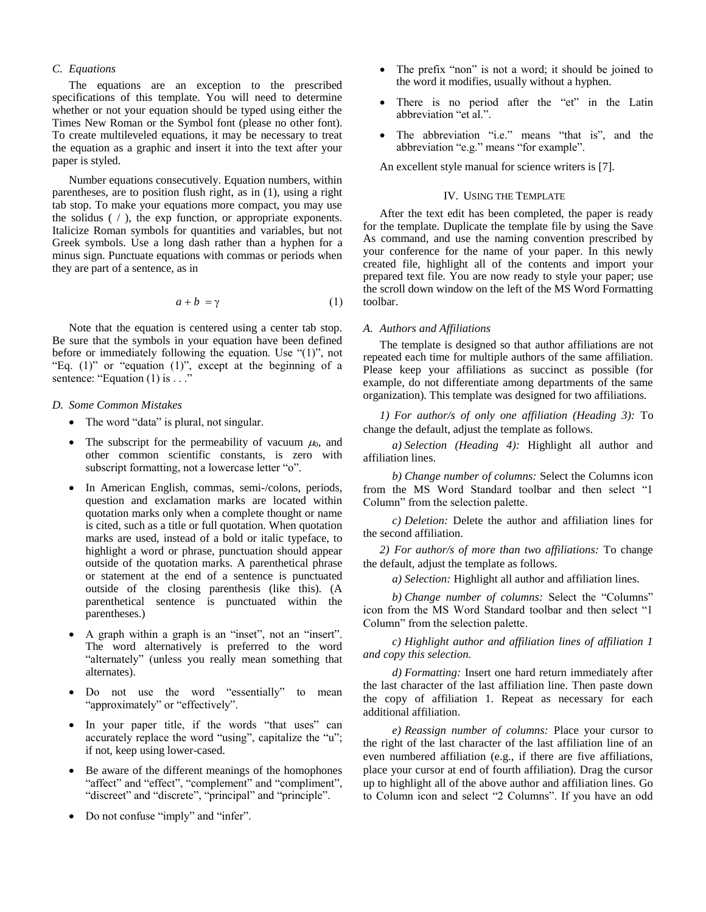## *C. Equations*

The equations are an exception to the prescribed specifications of this template. You will need to determine whether or not your equation should be typed using either the Times New Roman or the Symbol font (please no other font). To create multileveled equations, it may be necessary to treat the equation as a graphic and insert it into the text after your paper is styled.

Number equations consecutively. Equation numbers, within parentheses, are to position flush right, as in (1), using a right tab stop. To make your equations more compact, you may use the solidus  $( / )$ , the exp function, or appropriate exponents. Italicize Roman symbols for quantities and variables, but not Greek symbols. Use a long dash rather than a hyphen for a minus sign. Punctuate equations with commas or periods when they are part of a sentence, as in

$$
a + b = \gamma \tag{1}
$$

Note that the equation is centered using a center tab stop. Be sure that the symbols in your equation have been defined before or immediately following the equation. Use "(1)", not "Eq.  $(1)$ " or "equation  $(1)$ ", except at the beginning of a sentence: "Equation  $(1)$  is ...

## *D. Some Common Mistakes*

- The word "data" is plural, not singular.
- The subscript for the permeability of vacuum  $\mu_0$ , and other common scientific constants, is zero with subscript formatting, not a lowercase letter "o".
- In American English, commas, semi-/colons, periods, question and exclamation marks are located within quotation marks only when a complete thought or name is cited, such as a title or full quotation. When quotation marks are used, instead of a bold or italic typeface, to highlight a word or phrase, punctuation should appear outside of the quotation marks. A parenthetical phrase or statement at the end of a sentence is punctuated outside of the closing parenthesis (like this). (A parenthetical sentence is punctuated within the parentheses.)
- A graph within a graph is an "inset", not an "insert". The word alternatively is preferred to the word "alternately" (unless you really mean something that alternates).
- Do not use the word "essentially" to mean "approximately" or "effectively".
- In your paper title, if the words "that uses" can accurately replace the word "using", capitalize the "u"; if not, keep using lower-cased.
- Be aware of the different meanings of the homophones "affect" and "effect", "complement" and "compliment", "discreet" and "discrete", "principal" and "principle".
- Do not confuse "imply" and "infer".
- The prefix "non" is not a word; it should be joined to the word it modifies, usually without a hyphen.
- There is no period after the "et" in the Latin abbreviation "et al.".
- The abbreviation "i.e." means "that is", and the abbreviation "e.g." means "for example".

An excellent style manual for science writers is [7].

### IV. USING THE TEMPLATE

After the text edit has been completed, the paper is ready for the template. Duplicate the template file by using the Save As command, and use the naming convention prescribed by your conference for the name of your paper. In this newly created file, highlight all of the contents and import your prepared text file. You are now ready to style your paper; use the scroll down window on the left of the MS Word Formatting toolbar.

#### *A. Authors and Affiliations*

The template is designed so that author affiliations are not repeated each time for multiple authors of the same affiliation. Please keep your affiliations as succinct as possible (for example, do not differentiate among departments of the same organization). This template was designed for two affiliations.

*1) For author/s of only one affiliation (Heading 3):* To change the default, adjust the template as follows.

*a) Selection (Heading 4):* Highlight all author and affiliation lines.

*b) Change number of columns:* Select the Columns icon from the MS Word Standard toolbar and then select "1 Column" from the selection palette.

*c) Deletion:* Delete the author and affiliation lines for the second affiliation.

*2) For author/s of more than two affiliations:* To change the default, adjust the template as follows.

*a) Selection:* Highlight all author and affiliation lines.

*b) Change number of columns:* Select the "Columns" icon from the MS Word Standard toolbar and then select "1 Column" from the selection palette.

*c) Highlight author and affiliation lines of affiliation 1 and copy this selection.*

*d) Formatting:* Insert one hard return immediately after the last character of the last affiliation line. Then paste down the copy of affiliation 1. Repeat as necessary for each additional affiliation.

*e) Reassign number of columns:* Place your cursor to the right of the last character of the last affiliation line of an even numbered affiliation (e.g., if there are five affiliations, place your cursor at end of fourth affiliation). Drag the cursor up to highlight all of the above author and affiliation lines. Go to Column icon and select "2 Columns". If you have an odd